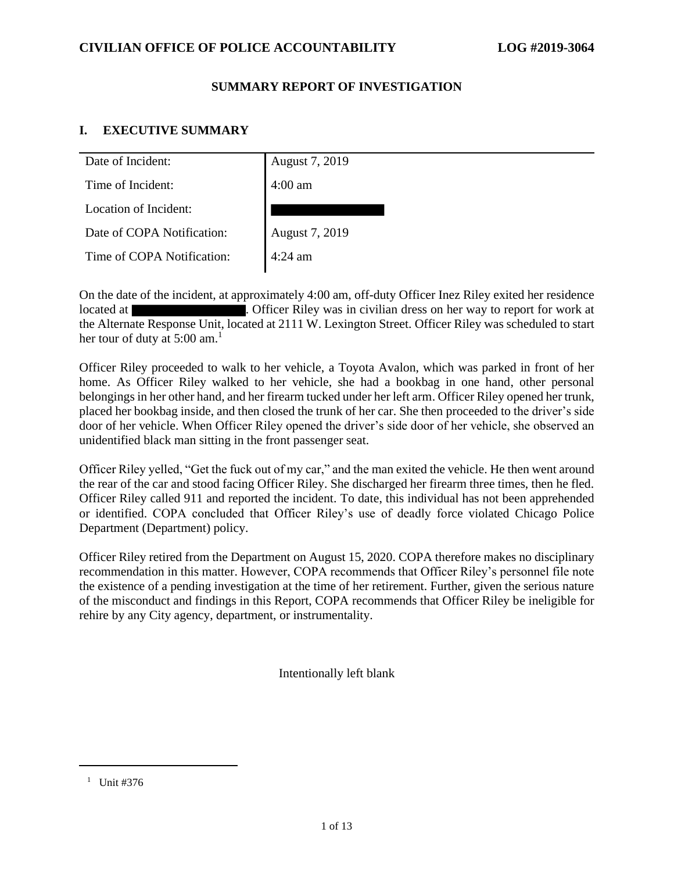#### **SUMMARY REPORT OF INVESTIGATION**

# **I. EXECUTIVE SUMMARY**

| Date of Incident:          | August 7, 2019    |
|----------------------------|-------------------|
| Time of Incident:          | $4:00$ am         |
| Location of Incident:      |                   |
| Date of COPA Notification: | August 7, 2019    |
| Time of COPA Notification: | $4:24 \text{ am}$ |
|                            |                   |

On the date of the incident, at approximately 4:00 am, off-duty Officer Inez Riley exited her residence located at **. Officer Riley was in civilian dress on her way to report for work at** the Alternate Response Unit, located at 2111 W. Lexington Street. Officer Riley was scheduled to start her tour of duty at  $5:00$  am.<sup>1</sup>

Officer Riley proceeded to walk to her vehicle, a Toyota Avalon, which was parked in front of her home. As Officer Riley walked to her vehicle, she had a bookbag in one hand, other personal belongings in her other hand, and her firearm tucked under her left arm. Officer Riley opened her trunk, placed her bookbag inside, and then closed the trunk of her car. She then proceeded to the driver's side door of her vehicle. When Officer Riley opened the driver's side door of her vehicle, she observed an unidentified black man sitting in the front passenger seat.

Officer Riley yelled, "Get the fuck out of my car," and the man exited the vehicle. He then went around the rear of the car and stood facing Officer Riley. She discharged her firearm three times, then he fled. Officer Riley called 911 and reported the incident. To date, this individual has not been apprehended or identified. COPA concluded that Officer Riley's use of deadly force violated Chicago Police Department (Department) policy.

Officer Riley retired from the Department on August 15, 2020. COPA therefore makes no disciplinary recommendation in this matter. However, COPA recommends that Officer Riley's personnel file note the existence of a pending investigation at the time of her retirement. Further, given the serious nature of the misconduct and findings in this Report, COPA recommends that Officer Riley be ineligible for rehire by any City agency, department, or instrumentality.

Intentionally left blank

<sup>&</sup>lt;sup>1</sup> Unit #376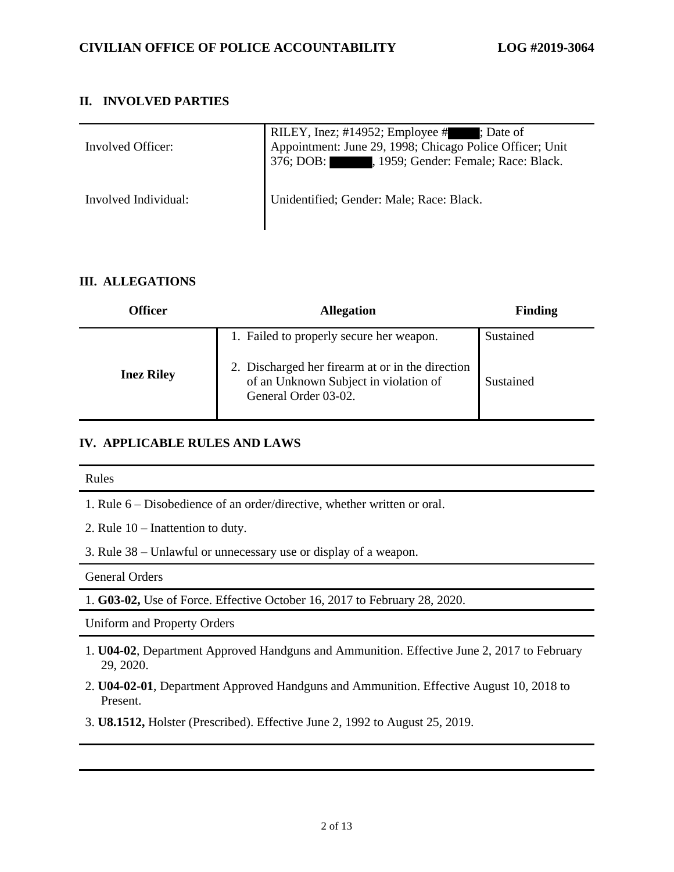### **II. INVOLVED PARTIES**

| Involved Officer:    | RILEY, Inez; #14952; Employee #; Date of<br>Appointment: June 29, 1998; Chicago Police Officer; Unit<br>376; DOB: , 1959; Gender: Female; Race: Black. |
|----------------------|--------------------------------------------------------------------------------------------------------------------------------------------------------|
| Involved Individual: | Unidentified; Gender: Male; Race: Black.                                                                                                               |

#### **III. ALLEGATIONS**

| <b>Officer</b>    | <b>Allegation</b>                                                                            | <b>Finding</b> |
|-------------------|----------------------------------------------------------------------------------------------|----------------|
|                   | 1. Failed to properly secure her weapon.<br>2. Discharged her firearm at or in the direction | Sustained      |
| <b>Inez Riley</b> | of an Unknown Subject in violation of<br>General Order 03-02.                                | Sustained      |

#### **IV. APPLICABLE RULES AND LAWS**

#### Rules

1. Rule 6 – Disobedience of an order/directive, whether written or oral.

2. Rule 10 – Inattention to duty.

3. Rule 38 – Unlawful or unnecessary use or display of a weapon.

General Orders

1. **G03-02,** Use of Force. Effective October 16, 2017 to February 28, 2020.

Uniform and Property Orders

- 1. **U04-02**, Department Approved Handguns and Ammunition. Effective June 2, 2017 to February 29, 2020.
- 2. **U04-02-01**, Department Approved Handguns and Ammunition. Effective August 10, 2018 to Present.
- 3. **U8.1512,** Holster (Prescribed). Effective June 2, 1992 to August 25, 2019.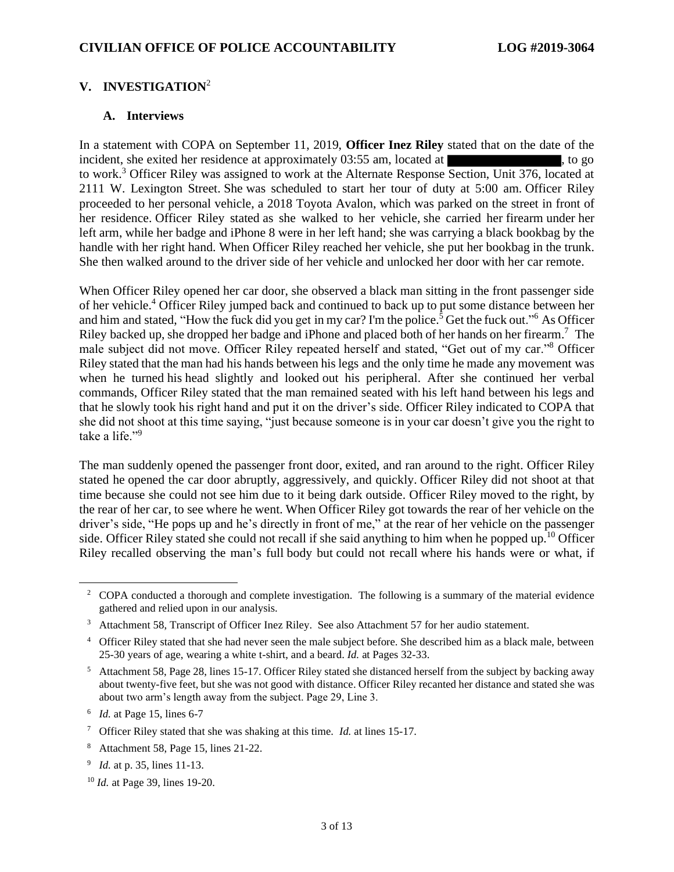#### **V. INVESTIGATION**<sup>2</sup>

#### **A. Interviews**

In a statement with COPA on September 11, 2019, **Officer Inez Riley** stated that on the date of the incident, she exited her residence at approximately 03:55 am, located at , to go to work.<sup>3</sup> Officer Riley was assigned to work at the Alternate Response Section, Unit 376, located at 2111 W. Lexington Street. She was scheduled to start her tour of duty at 5:00 am. Officer Riley proceeded to her personal vehicle, a 2018 Toyota Avalon, which was parked on the street in front of her residence. Officer Riley stated as she walked to her vehicle, she carried her firearm under her left arm, while her badge and iPhone 8 were in her left hand; she was carrying a black bookbag by the handle with her right hand. When Officer Riley reached her vehicle, she put her bookbag in the trunk. She then walked around to the driver side of her vehicle and unlocked her door with her car remote.

When Officer Riley opened her car door, she observed a black man sitting in the front passenger side of her vehicle.<sup>4</sup> Officer Riley jumped back and continued to back up to put some distance between her and him and stated, "How the fuck did you get in my car? I'm the police.<sup>5</sup> Get the fuck out."<sup>6</sup> As Officer Riley backed up, she dropped her badge and iPhone and placed both of her hands on her firearm.<sup>7</sup> The male subject did not move. Officer Riley repeated herself and stated, "Get out of my car."<sup>8</sup> Officer Riley stated that the man had his hands between his legs and the only time he made any movement was when he turned his head slightly and looked out his peripheral. After she continued her verbal commands, Officer Riley stated that the man remained seated with his left hand between his legs and that he slowly took his right hand and put it on the driver's side. Officer Riley indicated to COPA that she did not shoot at this time saying, "just because someone is in your car doesn't give you the right to take a life."<sup>9</sup>

The man suddenly opened the passenger front door, exited, and ran around to the right. Officer Riley stated he opened the car door abruptly, aggressively, and quickly. Officer Riley did not shoot at that time because she could not see him due to it being dark outside. Officer Riley moved to the right, by the rear of her car, to see where he went. When Officer Riley got towards the rear of her vehicle on the driver's side, "He pops up and he's directly in front of me," at the rear of her vehicle on the passenger side. Officer Riley stated she could not recall if she said anything to him when he popped up.<sup>10</sup> Officer Riley recalled observing the man's full body but could not recall where his hands were or what, if

<sup>&</sup>lt;sup>2</sup> COPA conducted a thorough and complete investigation. The following is a summary of the material evidence gathered and relied upon in our analysis.

<sup>&</sup>lt;sup>3</sup> Attachment 58, Transcript of Officer Inez Riley. See also Attachment 57 for her audio statement.

<sup>&</sup>lt;sup>4</sup> Officer Riley stated that she had never seen the male subject before. She described him as a black male, between 25-30 years of age, wearing a white t-shirt, and a beard. *Id.* at Pages 32-33.

<sup>5</sup> Attachment 58, Page 28, lines 15-17. Officer Riley stated she distanced herself from the subject by backing away about twenty-five feet, but she was not good with distance. Officer Riley recanted her distance and stated she was about two arm's length away from the subject. Page 29, Line 3.

<sup>6</sup> *Id.* at Page 15, lines 6-7

<sup>7</sup> Officer Riley stated that she was shaking at this time. *Id.* at lines 15-17.

<sup>8</sup> Attachment 58, Page 15, lines 21-22.

<sup>9</sup> *Id.* at p. 35, lines 11-13.

<sup>10</sup> *Id.* at Page 39, lines 19-20.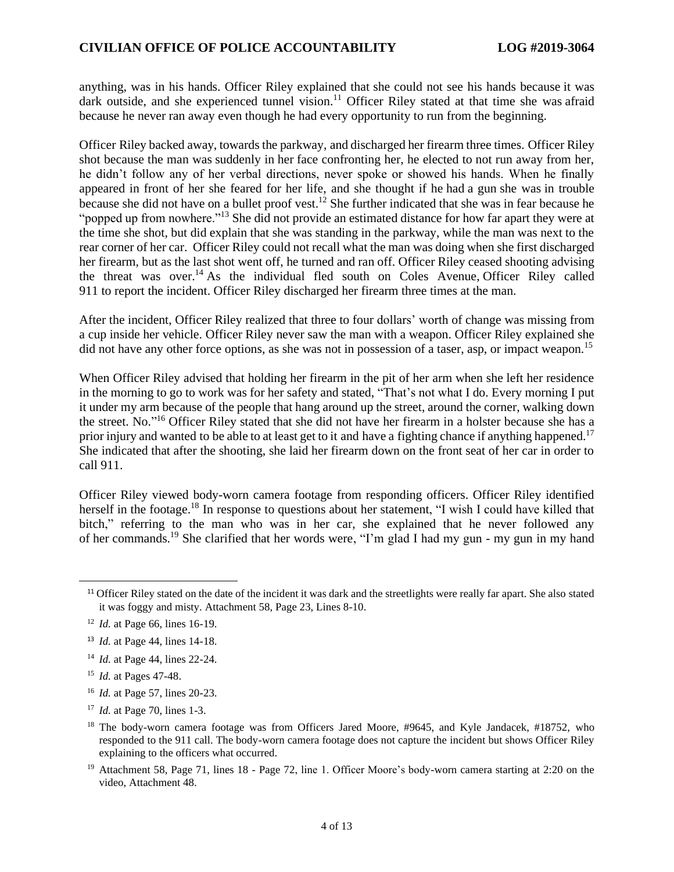anything, was in his hands. Officer Riley explained that she could not see his hands because it was dark outside, and she experienced tunnel vision.<sup>11</sup> Officer Riley stated at that time she was afraid because he never ran away even though he had every opportunity to run from the beginning.

Officer Riley backed away, towards the parkway, and discharged her firearm three times. Officer Riley shot because the man was suddenly in her face confronting her, he elected to not run away from her, he didn't follow any of her verbal directions, never spoke or showed his hands. When he finally appeared in front of her she feared for her life, and she thought if he had a gun she was in trouble because she did not have on a bullet proof vest.<sup>12</sup> She further indicated that she was in fear because he "popped up from nowhere."<sup>13</sup> She did not provide an estimated distance for how far apart they were at the time she shot, but did explain that she was standing in the parkway, while the man was next to the rear corner of her car. Officer Riley could not recall what the man was doing when she first discharged her firearm, but as the last shot went off, he turned and ran off. Officer Riley ceased shooting advising the threat was over.<sup>14</sup> As the individual fled south on Coles Avenue, Officer Riley called 911 to report the incident. Officer Riley discharged her firearm three times at the man.

After the incident, Officer Riley realized that three to four dollars' worth of change was missing from a cup inside her vehicle. Officer Riley never saw the man with a weapon. Officer Riley explained she did not have any other force options, as she was not in possession of a taser, asp, or impact weapon.<sup>15</sup>

When Officer Riley advised that holding her firearm in the pit of her arm when she left her residence in the morning to go to work was for her safety and stated, "That's not what I do. Every morning I put it under my arm because of the people that hang around up the street, around the corner, walking down the street. No."<sup>16</sup> Officer Riley stated that she did not have her firearm in a holster because she has a prior injury and wanted to be able to at least get to it and have a fighting chance if anything happened.<sup>17</sup> She indicated that after the shooting, she laid her firearm down on the front seat of her car in order to call 911.

Officer Riley viewed body-worn camera footage from responding officers. Officer Riley identified herself in the footage.<sup>18</sup> In response to questions about her statement, "I wish I could have killed that bitch," referring to the man who was in her car, she explained that he never followed any of her commands.<sup>19</sup> She clarified that her words were, "I'm glad I had my gun - my gun in my hand

<sup>16</sup> *Id.* at Page 57, lines 20-23.

<sup>&</sup>lt;sup>11</sup> Officer Riley stated on the date of the incident it was dark and the streetlights were really far apart. She also stated it was foggy and misty. Attachment 58, Page 23, Lines 8-10.

<sup>12</sup> *Id.* at Page 66, lines 16-19.

<sup>13</sup> *Id.* at Page 44, lines 14-18.

<sup>14</sup> *Id.* at Page 44, lines 22-24.

<sup>15</sup> *Id.* at Pages 47-48.

<sup>17</sup> *Id.* at Page 70, lines 1-3.

<sup>&</sup>lt;sup>18</sup> The body-worn camera footage was from Officers Jared Moore, #9645, and Kyle Jandacek, #18752, who responded to the 911 call. The body-worn camera footage does not capture the incident but shows Officer Riley explaining to the officers what occurred.

<sup>&</sup>lt;sup>19</sup> Attachment 58, Page 71, lines 18 - Page 72, line 1. Officer Moore's body-worn camera starting at 2:20 on the video, Attachment 48.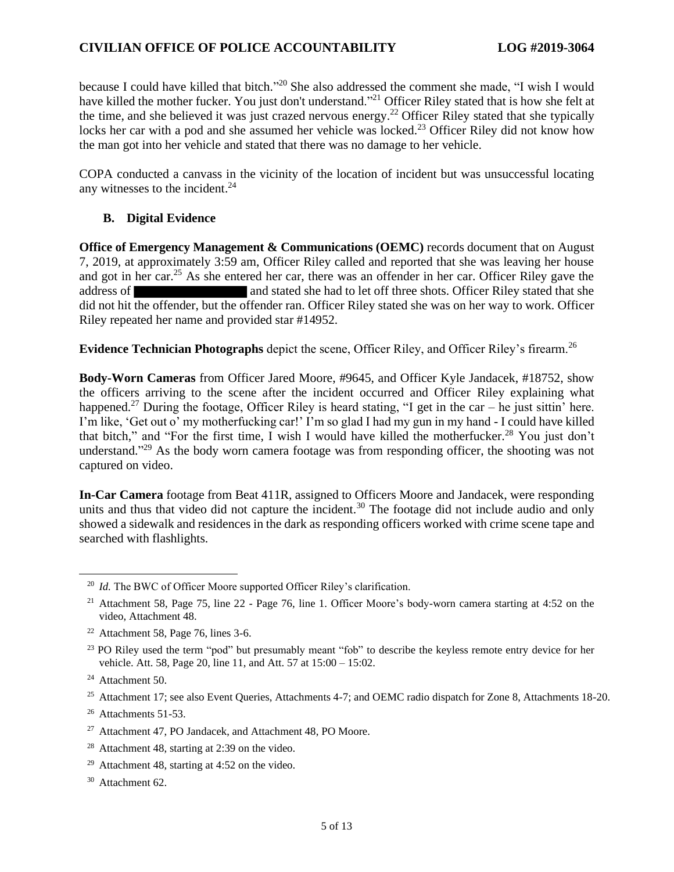### **CIVILIAN OFFICE OF POLICE ACCOUNTABILITY LOG #2019-3064**

because I could have killed that bitch."<sup>20</sup> She also addressed the comment she made, "I wish I would have killed the mother fucker. You just don't understand."<sup>21</sup> Officer Riley stated that is how she felt at the time, and she believed it was just crazed nervous energy.<sup>22</sup> Officer Riley stated that she typically locks her car with a pod and she assumed her vehicle was locked.<sup>23</sup> Officer Riley did not know how the man got into her vehicle and stated that there was no damage to her vehicle.

COPA conducted a canvass in the vicinity of the location of incident but was unsuccessful locating any witnesses to the incident. 24

### **B. Digital Evidence**

**Office of Emergency Management & Communications (OEMC)** records document that on August 7, 2019, at approximately 3:59 am, Officer Riley called and reported that she was leaving her house and got in her car.<sup>25</sup> As she entered her car, there was an offender in her car. Officer Riley gave the address of and stated she had to let off three shots. Officer Riley stated that she did not hit the offender, but the offender ran. Officer Riley stated she was on her way to work. Officer Riley repeated her name and provided star #14952.

**Evidence Technician Photographs** depict the scene, Officer Riley, and Officer Riley's firearm.<sup>26</sup>

**Body-Worn Cameras** from Officer Jared Moore, #9645, and Officer Kyle Jandacek, #18752, show the officers arriving to the scene after the incident occurred and Officer Riley explaining what happened.<sup>27</sup> During the footage, Officer Riley is heard stating, "I get in the car – he just sittin' here. I'm like, 'Get out o' my motherfucking car!' I'm so glad I had my gun in my hand - I could have killed that bitch," and "For the first time, I wish I would have killed the motherfucker.<sup>28</sup> You just don't understand."<sup>29</sup> As the body worn camera footage was from responding officer, the shooting was not captured on video.

**In-Car Camera** footage from Beat 411R, assigned to Officers Moore and Jandacek, were responding units and thus that video did not capture the incident.<sup>30</sup> The footage did not include audio and only showed a sidewalk and residences in the dark as responding officers worked with crime scene tape and searched with flashlights.

<sup>&</sup>lt;sup>20</sup> *Id.* The BWC of Officer Moore supported Officer Riley's clarification.

<sup>&</sup>lt;sup>21</sup> Attachment 58, Page 75, line 22 - Page 76, line 1. Officer Moore's body-worn camera starting at 4:52 on the video, Attachment 48.

 $22$  Attachment 58, Page 76, lines 3-6.

<sup>&</sup>lt;sup>23</sup> PO Riley used the term "pod" but presumably meant "fob" to describe the keyless remote entry device for her vehicle. Att. 58, Page 20, line 11, and Att. 57 at 15:00 – 15:02.

<sup>&</sup>lt;sup>24</sup> Attachment 50.

<sup>&</sup>lt;sup>25</sup> Attachment 17; see also Event Queries, Attachments 4-7; and OEMC radio dispatch for Zone 8, Attachments 18-20.

 $26$  Attachments 51-53.

<sup>27</sup> Attachment 47, PO Jandacek, and Attachment 48, PO Moore.

<sup>28</sup> Attachment 48, starting at 2:39 on the video.

<sup>&</sup>lt;sup>29</sup> Attachment 48, starting at 4:52 on the video.

<sup>30</sup> Attachment 62.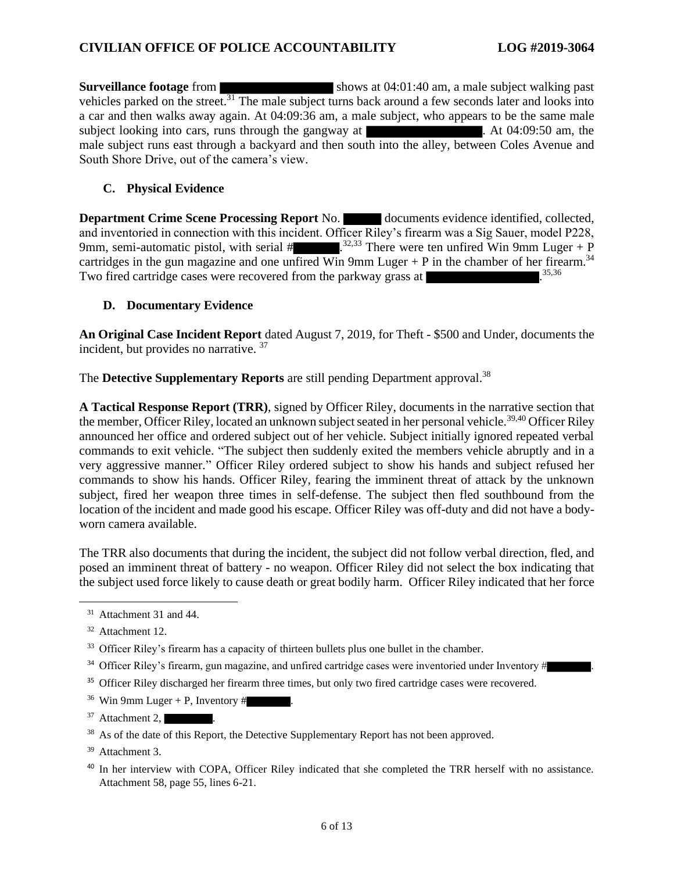**Surveillance footage** from shows at 04:01:40 am, a male subject walking past vehicles parked on the street.<sup>31</sup> The male subject turns back around a few seconds later and looks into a car and then walks away again. At 04:09:36 am, a male subject, who appears to be the same male subject looking into cars, runs through the gangway at  $\blacksquare$ . At 04:09:50 am, the male subject runs east through a backyard and then south into the alley, between Coles Avenue and South Shore Drive, out of the camera's view.

### **C. Physical Evidence**

**Department Crime Scene Processing Report** No. documents evidence identified, collected, and inventoried in connection with this incident. Officer Riley's firearm was a Sig Sauer, model P228, 9mm, semi-automatic pistol, with serial  $\#$  .<sup>32,33</sup> There were ten unfired Win 9mm Luger + P cartridges in the gun magazine and one unfired Win 9mm Luger + P in the chamber of her firearm.<sup>34</sup> Two fired cartridge cases were recovered from the parkway grass at

#### **D. Documentary Evidence**

**An Original Case Incident Report** dated August 7, 2019, for Theft - \$500 and Under, documents the incident, but provides no narrative. <sup>37</sup>

The **Detective Supplementary Reports** are still pending Department approval.<sup>38</sup>

**A Tactical Response Report (TRR)**, signed by Officer Riley, documents in the narrative section that the member, Officer Riley, located an unknown subject seated in her personal vehicle.<sup>39,40</sup> Officer Riley announced her office and ordered subject out of her vehicle. Subject initially ignored repeated verbal commands to exit vehicle. "The subject then suddenly exited the members vehicle abruptly and in a very aggressive manner." Officer Riley ordered subject to show his hands and subject refused her commands to show his hands. Officer Riley, fearing the imminent threat of attack by the unknown subject, fired her weapon three times in self-defense. The subject then fled southbound from the location of the incident and made good his escape. Officer Riley was off-duty and did not have a bodyworn camera available.

The TRR also documents that during the incident, the subject did not follow verbal direction, fled, and posed an imminent threat of battery - no weapon. Officer Riley did not select the box indicating that the subject used force likely to cause death or great bodily harm. Officer Riley indicated that her force

- <sup>35</sup> Officer Riley discharged her firearm three times, but only two fired cartridge cases were recovered.
- <sup>36</sup> Win 9mm Luger + P, Inventory  $\#$
- $37$  Attachment 2,
- <sup>38</sup> As of the date of this Report, the Detective Supplementary Report has not been approved.
- <sup>39</sup> Attachment 3.
- <sup>40</sup> In her interview with COPA, Officer Riley indicated that she completed the TRR herself with no assistance. Attachment 58, page 55, lines 6-21.

<sup>&</sup>lt;sup>31</sup> Attachment 31 and 44.

<sup>32</sup> Attachment 12.

<sup>&</sup>lt;sup>33</sup> Officer Riley's firearm has a capacity of thirteen bullets plus one bullet in the chamber.

 $34$  Officer Riley's firearm, gun magazine, and unfired cartridge cases were inventoried under Inventory #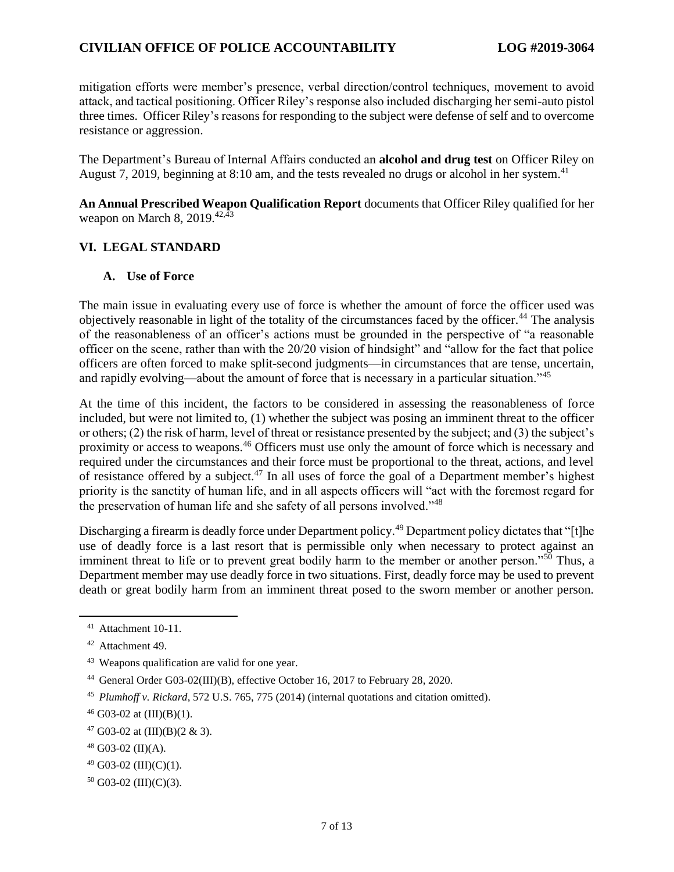## **CIVILIAN OFFICE OF POLICE ACCOUNTABILITY LOG #2019-3064**

mitigation efforts were member's presence, verbal direction/control techniques, movement to avoid attack, and tactical positioning. Officer Riley's response also included discharging her semi-auto pistol three times. Officer Riley's reasons for responding to the subject were defense of self and to overcome resistance or aggression.

The Department's Bureau of Internal Affairs conducted an **alcohol and drug test** on Officer Riley on August 7, 2019, beginning at 8:10 am, and the tests revealed no drugs or alcohol in her system.<sup>41</sup>

**An Annual Prescribed Weapon Qualification Report** documents that Officer Riley qualified for her weapon on March 8, 2019. $42,43$ 

#### **VI. LEGAL STANDARD**

#### **A. Use of Force**

The main issue in evaluating every use of force is whether the amount of force the officer used was objectively reasonable in light of the totality of the circumstances faced by the officer.<sup>44</sup> The analysis of the reasonableness of an officer's actions must be grounded in the perspective of "a reasonable officer on the scene, rather than with the 20/20 vision of hindsight" and "allow for the fact that police officers are often forced to make split-second judgments—in circumstances that are tense, uncertain, and rapidly evolving—about the amount of force that is necessary in a particular situation."<sup>45</sup>

At the time of this incident, the factors to be considered in assessing the reasonableness of force included, but were not limited to, (1) whether the subject was posing an imminent threat to the officer or others; (2) the risk of harm, level of threat or resistance presented by the subject; and (3) the subject's proximity or access to weapons.<sup>46</sup> Officers must use only the amount of force which is necessary and required under the circumstances and their force must be proportional to the threat, actions, and level of resistance offered by a subject.<sup>47</sup> In all uses of force the goal of a Department member's highest priority is the sanctity of human life, and in all aspects officers will "act with the foremost regard for the preservation of human life and she safety of all persons involved."<sup>48</sup>

Discharging a firearm is deadly force under Department policy.<sup>49</sup> Department policy dictates that "[t]he use of deadly force is a last resort that is permissible only when necessary to protect against an imminent threat to life or to prevent great bodily harm to the member or another person."<sup>50</sup> Thus, a Department member may use deadly force in two situations. First, deadly force may be used to prevent death or great bodily harm from an imminent threat posed to the sworn member or another person.

<sup>50</sup> G03-02 (III)(C)(3).

<sup>41</sup> Attachment 10-11.

<sup>42</sup> Attachment 49.

<sup>43</sup> Weapons qualification are valid for one year.

<sup>44</sup> General Order G03-02(III)(B), effective October 16, 2017 to February 28, 2020.

<sup>45</sup> *Plumhoff v. Rickard*, 572 U.S. 765, 775 (2014) (internal quotations and citation omitted).

 $46$  G03-02 at (III)(B)(1).

 $47$  G03-02 at (III)(B)(2 & 3).

<sup>48</sup> G03-02 (II)(A).

 $49$  G03-02 (III)(C)(1).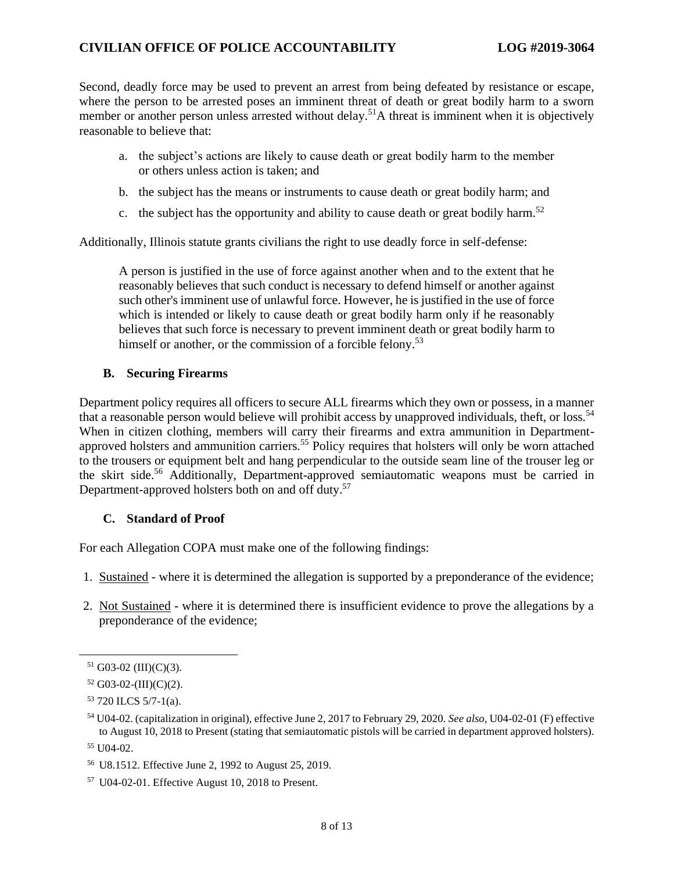Second, deadly force may be used to prevent an arrest from being defeated by resistance or escape, where the person to be arrested poses an imminent threat of death or great bodily harm to a sworn member or another person unless arrested without delay.<sup>51</sup>A threat is imminent when it is objectively reasonable to believe that:

- a. the subject's actions are likely to cause death or great bodily harm to the member or others unless action is taken; and
- b. the subject has the means or instruments to cause death or great bodily harm; and
- c. the subject has the opportunity and ability to cause death or great bodily harm.<sup>52</sup>

Additionally, Illinois statute grants civilians the right to use deadly force in self-defense:

A person is justified in the use of force against another when and to the extent that he reasonably believes that such conduct is necessary to defend himself or another against such other's imminent use of unlawful force. However, he is justified in the use of force which is intended or likely to cause death or great bodily harm only if he reasonably believes that such force is necessary to prevent imminent death or great bodily harm to himself or another, or the commission of a forcible felony.<sup>53</sup>

#### **B. Securing Firearms**

Department policy requires all officers to secure ALL firearms which they own or possess, in a manner that a reasonable person would believe will prohibit access by unapproved individuals, theft, or loss.<sup>54</sup> When in citizen clothing, members will carry their firearms and extra ammunition in Departmentapproved holsters and ammunition carriers.<sup>55</sup> Policy requires that holsters will only be worn attached to the trousers or equipment belt and hang perpendicular to the outside seam line of the trouser leg or the skirt side.<sup>56</sup> Additionally, Department-approved semiautomatic weapons must be carried in Department-approved holsters both on and off duty.<sup>57</sup>

#### **C. Standard of Proof**

For each Allegation COPA must make one of the following findings:

- 1. Sustained where it is determined the allegation is supported by a preponderance of the evidence;
- 2. Not Sustained where it is determined there is insufficient evidence to prove the allegations by a preponderance of the evidence;

<sup>55</sup> U04-02.

 $51$  G03-02 (III)(C)(3).

 $52$  G03-02-(III)(C)(2).

<sup>53</sup> 720 ILCS 5/7-1(a).

<sup>54</sup> U04-02. (capitalization in original), effective June 2, 2017 to February 29, 2020. *See also,* U04-02-01 (F) effective to August 10, 2018 to Present (stating that semiautomatic pistols will be carried in department approved holsters).

<sup>56</sup> U8.1512. Effective June 2, 1992 to August 25, 2019.

<sup>57</sup> U04-02-01. Effective August 10, 2018 to Present.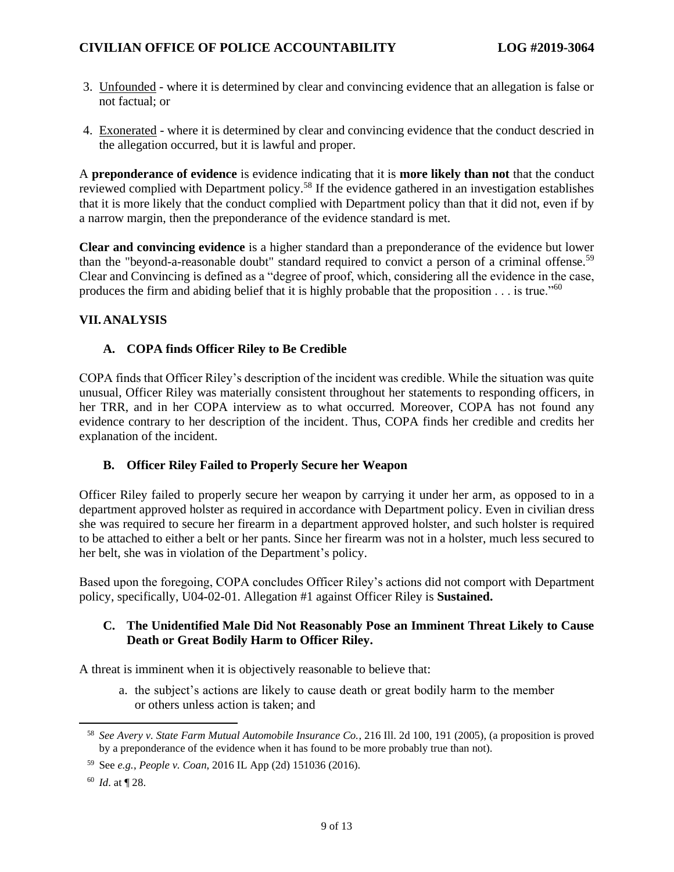- 3. Unfounded where it is determined by clear and convincing evidence that an allegation is false or not factual; or
- 4. Exonerated where it is determined by clear and convincing evidence that the conduct descried in the allegation occurred, but it is lawful and proper.

A **preponderance of evidence** is evidence indicating that it is **more likely than not** that the conduct reviewed complied with Department policy.<sup>58</sup> If the evidence gathered in an investigation establishes that it is more likely that the conduct complied with Department policy than that it did not, even if by a narrow margin, then the preponderance of the evidence standard is met.

**Clear and convincing evidence** is a higher standard than a preponderance of the evidence but lower than the "beyond-a-reasonable doubt" standard required to convict a person of a criminal offense.<sup>59</sup> Clear and Convincing is defined as a "degree of proof, which, considering all the evidence in the case, produces the firm and abiding belief that it is highly probable that the proposition  $\dots$  is true."<sup>60</sup>

### **VII.ANALYSIS**

#### **A. COPA finds Officer Riley to Be Credible**

COPA finds that Officer Riley's description of the incident was credible. While the situation was quite unusual, Officer Riley was materially consistent throughout her statements to responding officers, in her TRR, and in her COPA interview as to what occurred. Moreover, COPA has not found any evidence contrary to her description of the incident. Thus, COPA finds her credible and credits her explanation of the incident.

#### **B. Officer Riley Failed to Properly Secure her Weapon**

Officer Riley failed to properly secure her weapon by carrying it under her arm, as opposed to in a department approved holster as required in accordance with Department policy. Even in civilian dress she was required to secure her firearm in a department approved holster, and such holster is required to be attached to either a belt or her pants. Since her firearm was not in a holster, much less secured to her belt, she was in violation of the Department's policy.

Based upon the foregoing, COPA concludes Officer Riley's actions did not comport with Department policy, specifically, U04-02-01. Allegation #1 against Officer Riley is **Sustained.**

#### **C. The Unidentified Male Did Not Reasonably Pose an Imminent Threat Likely to Cause Death or Great Bodily Harm to Officer Riley.**

A threat is imminent when it is objectively reasonable to believe that:

a. the subject's actions are likely to cause death or great bodily harm to the member or others unless action is taken; and

<sup>58</sup> *See Avery v. State Farm Mutual Automobile Insurance Co.*, 216 Ill. 2d 100, 191 (2005), (a proposition is proved by a preponderance of the evidence when it has found to be more probably true than not).

<sup>59</sup> See *e.g.*, *People v. Coan*, 2016 IL App (2d) 151036 (2016).

<sup>60</sup> *Id*. at ¶ 28.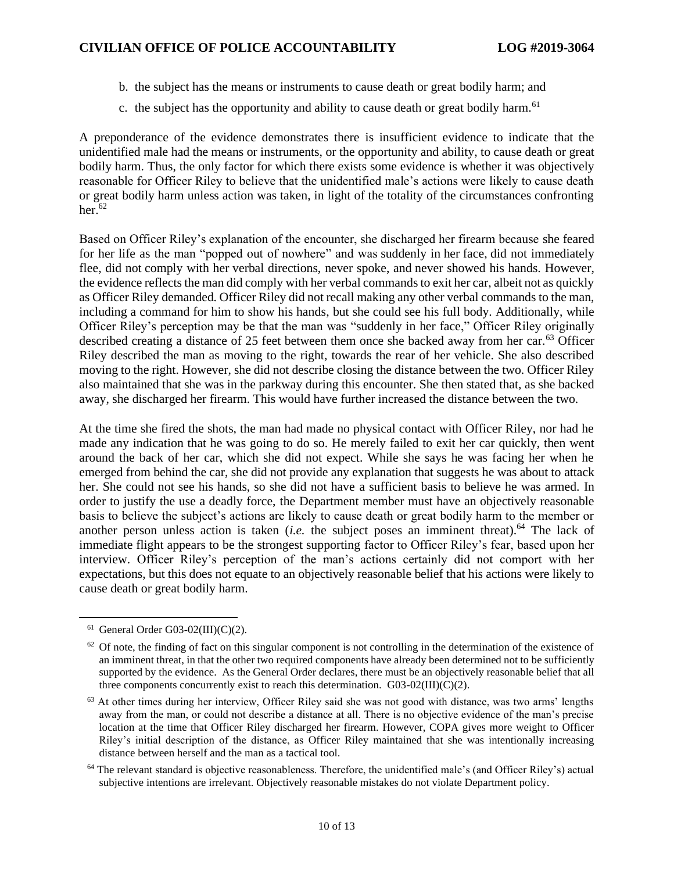- b. the subject has the means or instruments to cause death or great bodily harm; and
- c. the subject has the opportunity and ability to cause death or great bodily harm.<sup>61</sup>

A preponderance of the evidence demonstrates there is insufficient evidence to indicate that the unidentified male had the means or instruments, or the opportunity and ability, to cause death or great bodily harm. Thus, the only factor for which there exists some evidence is whether it was objectively reasonable for Officer Riley to believe that the unidentified male's actions were likely to cause death or great bodily harm unless action was taken, in light of the totality of the circumstances confronting her $62$ 

Based on Officer Riley's explanation of the encounter, she discharged her firearm because she feared for her life as the man "popped out of nowhere" and was suddenly in her face, did not immediately flee, did not comply with her verbal directions, never spoke, and never showed his hands. However, the evidence reflects the man did comply with her verbal commands to exit her car, albeit not as quickly as Officer Riley demanded. Officer Riley did not recall making any other verbal commands to the man, including a command for him to show his hands, but she could see his full body. Additionally, while Officer Riley's perception may be that the man was "suddenly in her face," Officer Riley originally described creating a distance of 25 feet between them once she backed away from her car.<sup>63</sup> Officer Riley described the man as moving to the right, towards the rear of her vehicle. She also described moving to the right. However, she did not describe closing the distance between the two. Officer Riley also maintained that she was in the parkway during this encounter. She then stated that, as she backed away, she discharged her firearm. This would have further increased the distance between the two.

At the time she fired the shots, the man had made no physical contact with Officer Riley, nor had he made any indication that he was going to do so. He merely failed to exit her car quickly, then went around the back of her car, which she did not expect. While she says he was facing her when he emerged from behind the car, she did not provide any explanation that suggests he was about to attack her. She could not see his hands, so she did not have a sufficient basis to believe he was armed. In order to justify the use a deadly force, the Department member must have an objectively reasonable basis to believe the subject's actions are likely to cause death or great bodily harm to the member or another person unless action is taken *(i.e.* the subject poses an imminent threat).<sup>64</sup> The lack of immediate flight appears to be the strongest supporting factor to Officer Riley's fear, based upon her interview. Officer Riley's perception of the man's actions certainly did not comport with her expectations, but this does not equate to an objectively reasonable belief that his actions were likely to cause death or great bodily harm.

 $61$  General Order G03-02(III)(C)(2).

 $62$  Of note, the finding of fact on this singular component is not controlling in the determination of the existence of an imminent threat, in that the other two required components have already been determined not to be sufficiently supported by the evidence. As the General Order declares, there must be an objectively reasonable belief that all three components concurrently exist to reach this determination. G03-02(III)(C)(2).

<sup>&</sup>lt;sup>63</sup> At other times during her interview, Officer Riley said she was not good with distance, was two arms' lengths away from the man, or could not describe a distance at all. There is no objective evidence of the man's precise location at the time that Officer Riley discharged her firearm. However, COPA gives more weight to Officer Riley's initial description of the distance, as Officer Riley maintained that she was intentionally increasing distance between herself and the man as a tactical tool.

<sup>64</sup> The relevant standard is objective reasonableness. Therefore, the unidentified male's (and Officer Riley's) actual subjective intentions are irrelevant. Objectively reasonable mistakes do not violate Department policy.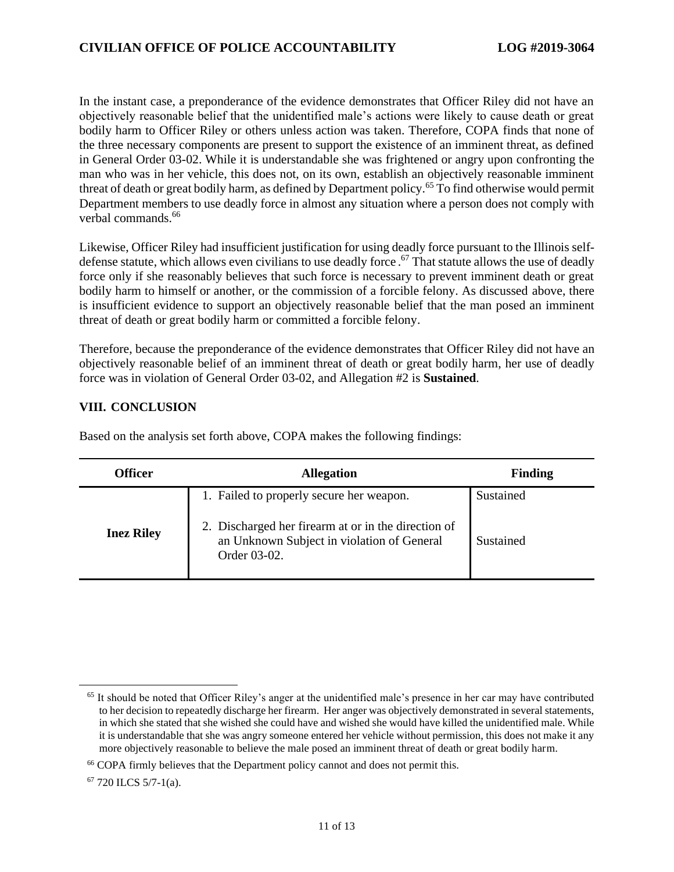In the instant case, a preponderance of the evidence demonstrates that Officer Riley did not have an objectively reasonable belief that the unidentified male's actions were likely to cause death or great bodily harm to Officer Riley or others unless action was taken. Therefore, COPA finds that none of the three necessary components are present to support the existence of an imminent threat, as defined in General Order 03-02. While it is understandable she was frightened or angry upon confronting the man who was in her vehicle, this does not, on its own, establish an objectively reasonable imminent threat of death or great bodily harm, as defined by Department policy.<sup>65</sup> To find otherwise would permit Department members to use deadly force in almost any situation where a person does not comply with verbal commands.<sup>66</sup>

Likewise, Officer Riley had insufficient justification for using deadly force pursuant to the Illinois selfdefense statute, which allows even civilians to use deadly force. <sup>67</sup> That statute allows the use of deadly force only if she reasonably believes that such force is necessary to prevent imminent death or great bodily harm to himself or another, or the commission of a forcible felony. As discussed above, there is insufficient evidence to support an objectively reasonable belief that the man posed an imminent threat of death or great bodily harm or committed a forcible felony.

Therefore, because the preponderance of the evidence demonstrates that Officer Riley did not have an objectively reasonable belief of an imminent threat of death or great bodily harm, her use of deadly force was in violation of General Order 03-02, and Allegation #2 is **Sustained**.

#### **VIII. CONCLUSION**

| Officer           | <b>Allegation</b>                                                                                                                                             | <b>Finding</b>         |
|-------------------|---------------------------------------------------------------------------------------------------------------------------------------------------------------|------------------------|
| <b>Inez Riley</b> | 1. Failed to properly secure her weapon.<br>2. Discharged her firearm at or in the direction of<br>an Unknown Subject in violation of General<br>Order 03-02. | Sustained<br>Sustained |

Based on the analysis set forth above, COPA makes the following findings:

<sup>67</sup> 720 ILCS 5/7-1(a).

 $65$  It should be noted that Officer Riley's anger at the unidentified male's presence in her car may have contributed to her decision to repeatedly discharge her firearm. Her anger was objectively demonstrated in several statements, in which she stated that she wished she could have and wished she would have killed the unidentified male. While it is understandable that she was angry someone entered her vehicle without permission, this does not make it any more objectively reasonable to believe the male posed an imminent threat of death or great bodily harm.

<sup>&</sup>lt;sup>66</sup> COPA firmly believes that the Department policy cannot and does not permit this.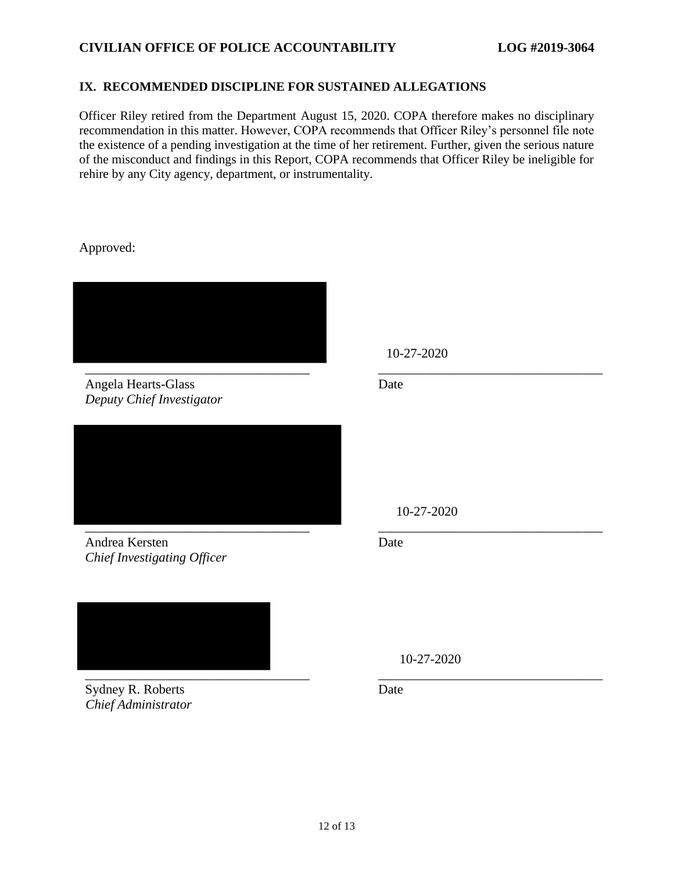## **CIVILIAN OFFICE OF POLICE ACCOUNTABILITY LOG #2019-3064**

#### **IX. RECOMMENDED DISCIPLINE FOR SUSTAINED ALLEGATIONS**

Officer Riley retired from the Department August 15, 2020. COPA therefore makes no disciplinary recommendation in this matter. However, COPA recommends that Officer Riley's personnel file note the existence of a pending investigation at the time of her retirement. Further, given the serious nature of the misconduct and findings in this Report, COPA recommends that Officer Riley be ineligible for rehire by any City agency, department, or instrumentality.

Approved:



Angela Hearts-Glass *Deputy Chief Investigator*



Andrea Kersten *Chief Investigating Officer*



Sydney R. Roberts *Chief Administrator*

10-27-2020

Date

10-27-2020

Date

10-27-2020

Date